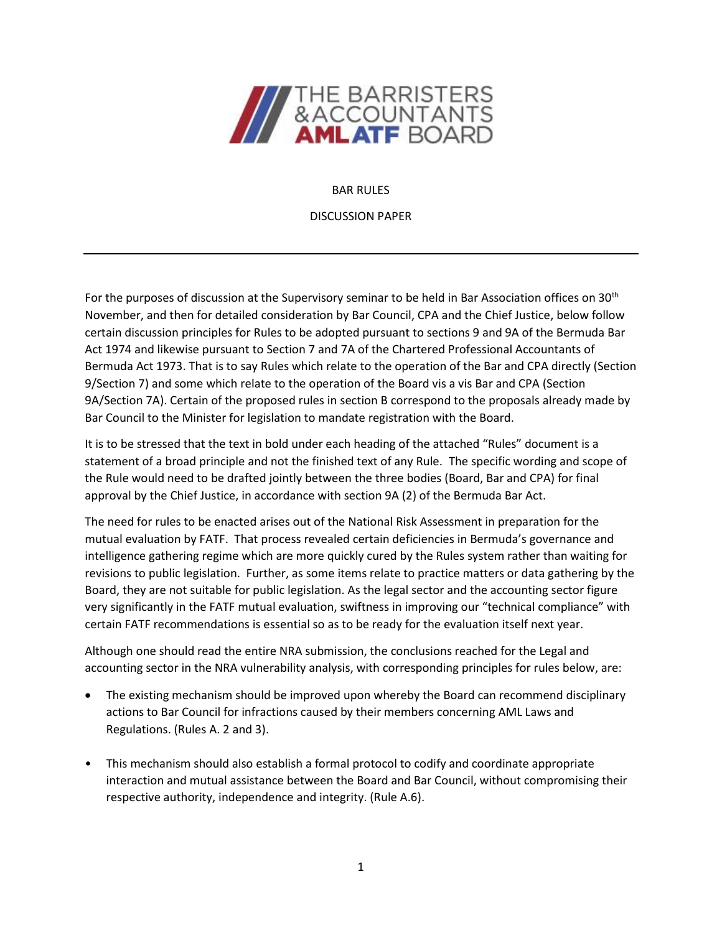

#### BAR RULES

DISCUSSION PAPER

For the purposes of discussion at the Supervisory seminar to be held in Bar Association offices on 30th November, and then for detailed consideration by Bar Council, CPA and the Chief Justice, below follow certain discussion principles for Rules to be adopted pursuant to sections 9 and 9A of the Bermuda Bar Act 1974 and likewise pursuant to Section 7 and 7A of the Chartered Professional Accountants of Bermuda Act 1973. That is to say Rules which relate to the operation of the Bar and CPA directly (Section 9/Section 7) and some which relate to the operation of the Board vis a vis Bar and CPA (Section 9A/Section 7A). Certain of the proposed rules in section B correspond to the proposals already made by Bar Council to the Minister for legislation to mandate registration with the Board.

It is to be stressed that the text in bold under each heading of the attached "Rules" document is a statement of a broad principle and not the finished text of any Rule. The specific wording and scope of the Rule would need to be drafted jointly between the three bodies (Board, Bar and CPA) for final approval by the Chief Justice, in accordance with section 9A (2) of the Bermuda Bar Act.

The need for rules to be enacted arises out of the National Risk Assessment in preparation for the mutual evaluation by FATF. That process revealed certain deficiencies in Bermuda's governance and intelligence gathering regime which are more quickly cured by the Rules system rather than waiting for revisions to public legislation. Further, as some items relate to practice matters or data gathering by the Board, they are not suitable for public legislation. As the legal sector and the accounting sector figure very significantly in the FATF mutual evaluation, swiftness in improving our "technical compliance" with certain FATF recommendations is essential so as to be ready for the evaluation itself next year.

Although one should read the entire NRA submission, the conclusions reached for the Legal and accounting sector in the NRA vulnerability analysis, with corresponding principles for rules below, are:

- The existing mechanism should be improved upon whereby the Board can recommend disciplinary actions to Bar Council for infractions caused by their members concerning AML Laws and Regulations. (Rules A. 2 and 3).
- This mechanism should also establish a formal protocol to codify and coordinate appropriate interaction and mutual assistance between the Board and Bar Council, without compromising their respective authority, independence and integrity. (Rule A.6).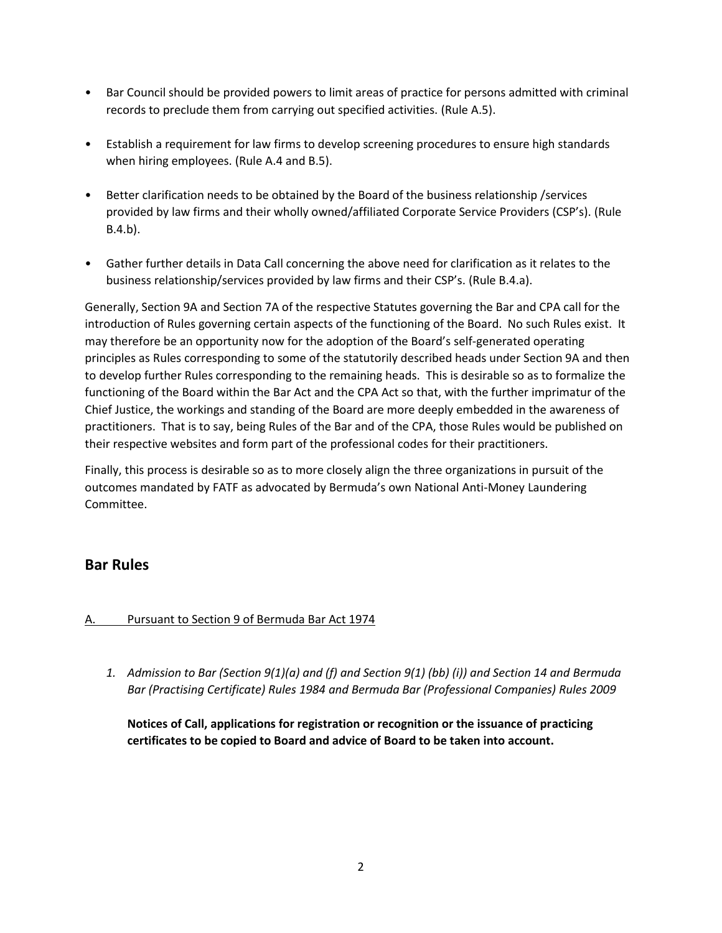- Bar Council should be provided powers to limit areas of practice for persons admitted with criminal records to preclude them from carrying out specified activities. (Rule A.5).
- Establish a requirement for law firms to develop screening procedures to ensure high standards when hiring employees. (Rule A.4 and B.5).
- Better clarification needs to be obtained by the Board of the business relationship /services provided by law firms and their wholly owned/affiliated Corporate Service Providers (CSP's). (Rule B.4.b).
- Gather further details in Data Call concerning the above need for clarification as it relates to the business relationship/services provided by law firms and their CSP's. (Rule B.4.a).

Generally, Section 9A and Section 7A of the respective Statutes governing the Bar and CPA call for the introduction of Rules governing certain aspects of the functioning of the Board. No such Rules exist. It may therefore be an opportunity now for the adoption of the Board's self-generated operating principles as Rules corresponding to some of the statutorily described heads under Section 9A and then to develop further Rules corresponding to the remaining heads. This is desirable so as to formalize the functioning of the Board within the Bar Act and the CPA Act so that, with the further imprimatur of the Chief Justice, the workings and standing of the Board are more deeply embedded in the awareness of practitioners. That is to say, being Rules of the Bar and of the CPA, those Rules would be published on their respective websites and form part of the professional codes for their practitioners.

Finally, this process is desirable so as to more closely align the three organizations in pursuit of the outcomes mandated by FATF as advocated by Bermuda's own National Anti-Money Laundering Committee.

# **Bar Rules**

## A. Pursuant to Section 9 of Bermuda Bar Act 1974

*1. Admission to Bar (Section 9(1)(a) and (f) and Section 9(1) (bb) (i)) and Section 14 and Bermuda Bar (Practising Certificate) Rules 1984 and Bermuda Bar (Professional Companies) Rules 2009*

**Notices of Call, applications for registration or recognition or the issuance of practicing certificates to be copied to Board and advice of Board to be taken into account.**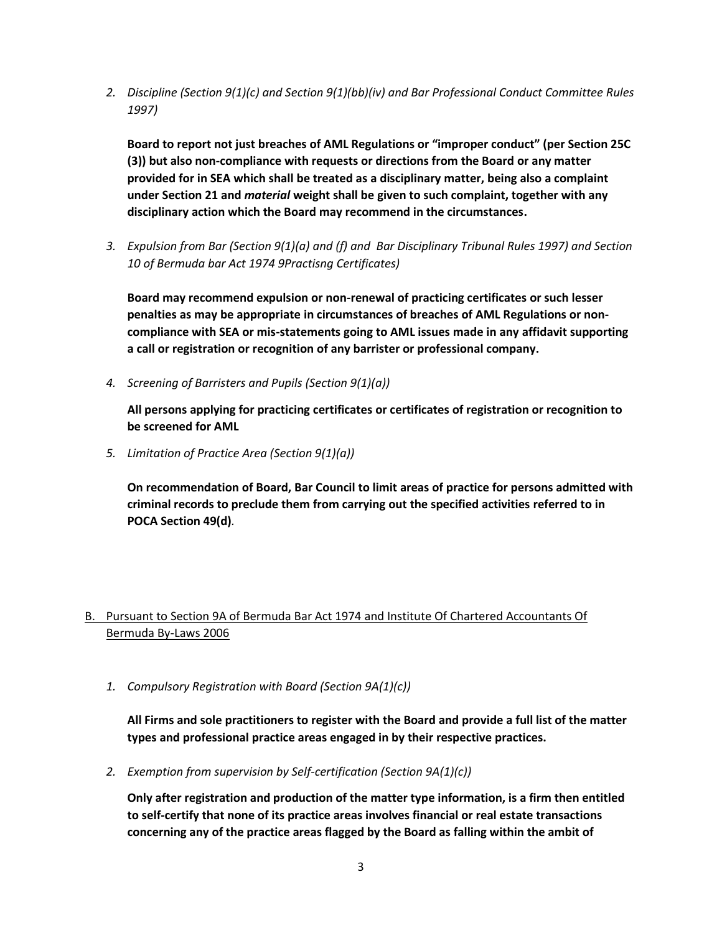*2. Discipline (Section 9(1)(c) and Section 9(1)(bb)(iv) and Bar Professional Conduct Committee Rules 1997)*

**Board to report not just breaches of AML Regulations or "improper conduct" (per Section 25C (3)) but also non-compliance with requests or directions from the Board or any matter provided for in SEA which shall be treated as a disciplinary matter, being also a complaint under Section 21 and** *material* **weight shall be given to such complaint, together with any disciplinary action which the Board may recommend in the circumstances.**

*3. Expulsion from Bar (Section 9(1)(a) and (f) and Bar Disciplinary Tribunal Rules 1997) and Section 10 of Bermuda bar Act 1974 9Practisng Certificates)*

**Board may recommend expulsion or non-renewal of practicing certificates or such lesser penalties as may be appropriate in circumstances of breaches of AML Regulations or noncompliance with SEA or mis-statements going to AML issues made in any affidavit supporting a call or registration or recognition of any barrister or professional company.**

*4. Screening of Barristers and Pupils (Section 9(1)(a))*

**All persons applying for practicing certificates or certificates of registration or recognition to be screened for AML**

*5. Limitation of Practice Area (Section 9(1)(a))*

**On recommendation of Board, Bar Council to limit areas of practice for persons admitted with criminal records to preclude them from carrying out the specified activities referred to in POCA Section 49(d)***.*

## B. Pursuant to Section 9A of Bermuda Bar Act 1974 and Institute Of Chartered Accountants Of Bermuda By-Laws 2006

*1. Compulsory Registration with Board (Section 9A(1)(c))*

**All Firms and sole practitioners to register with the Board and provide a full list of the matter types and professional practice areas engaged in by their respective practices.**

*2. Exemption from supervision by Self-certification (Section 9A(1)(c))*

**Only after registration and production of the matter type information, is a firm then entitled to self-certify that none of its practice areas involves financial or real estate transactions concerning any of the practice areas flagged by the Board as falling within the ambit of**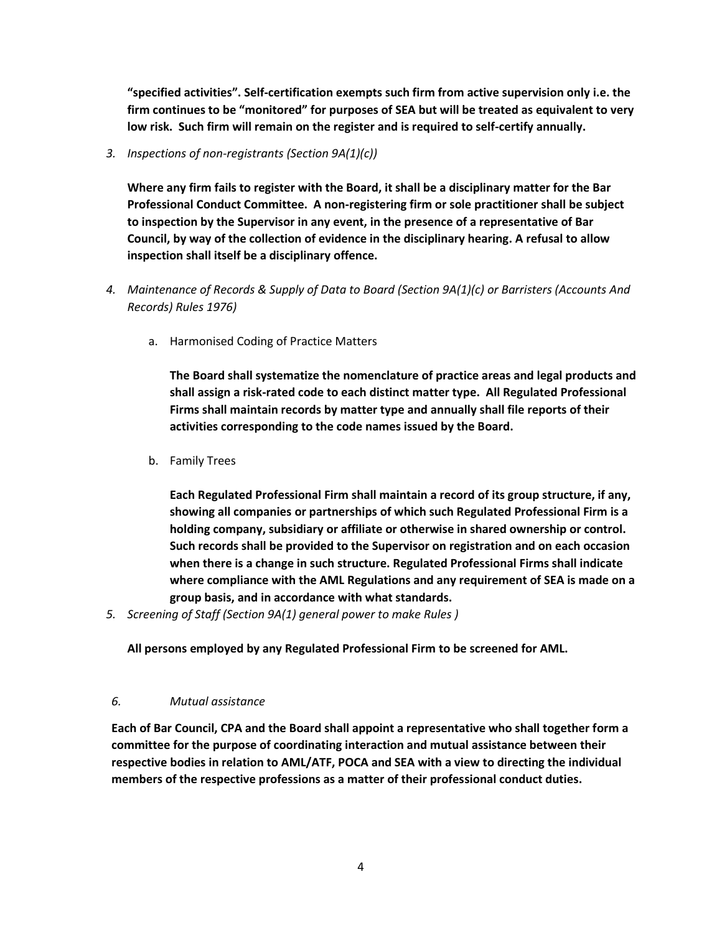**"specified activities". Self-certification exempts such firm from active supervision only i.e. the firm continues to be "monitored" for purposes of SEA but will be treated as equivalent to very low risk. Such firm will remain on the register and is required to self-certify annually.**

*3. Inspections of non-registrants (Section 9A(1)(c))*

**Where any firm fails to register with the Board, it shall be a disciplinary matter for the Bar Professional Conduct Committee. A non-registering firm or sole practitioner shall be subject to inspection by the Supervisor in any event, in the presence of a representative of Bar Council, by way of the collection of evidence in the disciplinary hearing. A refusal to allow inspection shall itself be a disciplinary offence.**

- *4. Maintenance of Records & Supply of Data to Board (Section 9A(1)(c) or Barristers (Accounts And Records) Rules 1976)*
	- a. Harmonised Coding of Practice Matters

**The Board shall systematize the nomenclature of practice areas and legal products and shall assign a risk-rated code to each distinct matter type. All Regulated Professional Firms shall maintain records by matter type and annually shall file reports of their activities corresponding to the code names issued by the Board.**

b. Family Trees

**Each Regulated Professional Firm shall maintain a record of its group structure, if any, showing all companies or partnerships of which such Regulated Professional Firm is a holding company, subsidiary or affiliate or otherwise in shared ownership or control. Such records shall be provided to the Supervisor on registration and on each occasion when there is a change in such structure. Regulated Professional Firms shall indicate where compliance with the AML Regulations and any requirement of SEA is made on a group basis, and in accordance with what standards.**

*5. Screening of Staff (Section 9A(1) general power to make Rules )*

**All persons employed by any Regulated Professional Firm to be screened for AML.**

#### *6. Mutual assistance*

**Each of Bar Council, CPA and the Board shall appoint a representative who shall together form a committee for the purpose of coordinating interaction and mutual assistance between their respective bodies in relation to AML/ATF, POCA and SEA with a view to directing the individual members of the respective professions as a matter of their professional conduct duties.**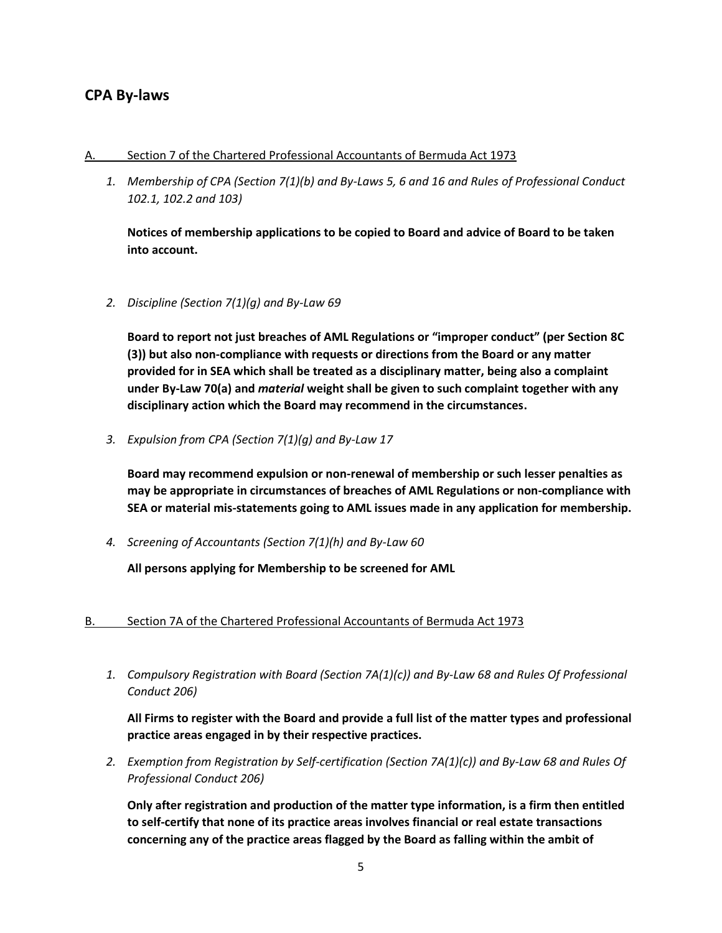# **CPA By-laws**

#### A. Section 7 of the Chartered Professional Accountants of Bermuda Act 1973

*1. Membership of CPA (Section 7(1)(b) and By-Laws 5, 6 and 16 and Rules of Professional Conduct 102.1, 102.2 and 103)*

**Notices of membership applications to be copied to Board and advice of Board to be taken into account.**

*2. Discipline (Section 7(1)(g) and By-Law 69*

**Board to report not just breaches of AML Regulations or "improper conduct" (per Section 8C (3)) but also non-compliance with requests or directions from the Board or any matter provided for in SEA which shall be treated as a disciplinary matter, being also a complaint under By-Law 70(a) and** *material* **weight shall be given to such complaint together with any disciplinary action which the Board may recommend in the circumstances.**

*3. Expulsion from CPA (Section 7(1)(g) and By-Law 17*

**Board may recommend expulsion or non-renewal of membership or such lesser penalties as may be appropriate in circumstances of breaches of AML Regulations or non-compliance with SEA or material mis-statements going to AML issues made in any application for membership.**

*4. Screening of Accountants (Section 7(1)(h) and By-Law 60*

**All persons applying for Membership to be screened for AML**

## B. Section 7A of the Chartered Professional Accountants of Bermuda Act 1973

*1. Compulsory Registration with Board (Section 7A(1)(c)) and By-Law 68 and Rules Of Professional Conduct 206)*

**All Firms to register with the Board and provide a full list of the matter types and professional practice areas engaged in by their respective practices.**

*2. Exemption from Registration by Self-certification (Section 7A(1)(c)) and By-Law 68 and Rules Of Professional Conduct 206)*

**Only after registration and production of the matter type information, is a firm then entitled to self-certify that none of its practice areas involves financial or real estate transactions concerning any of the practice areas flagged by the Board as falling within the ambit of**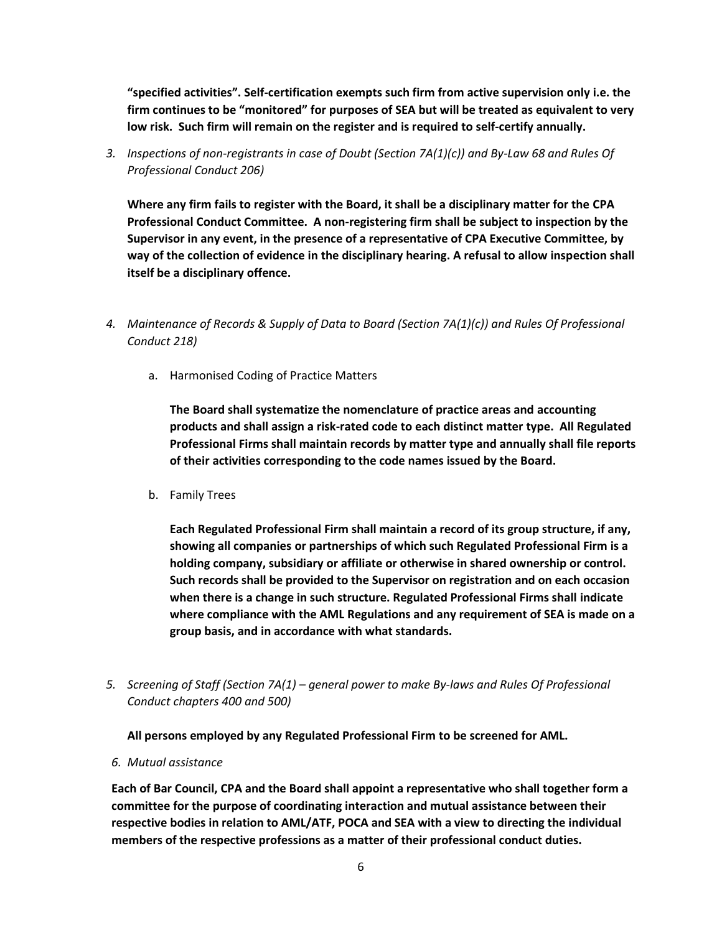**"specified activities". Self-certification exempts such firm from active supervision only i.e. the firm continues to be "monitored" for purposes of SEA but will be treated as equivalent to very low risk. Such firm will remain on the register and is required to self-certify annually.**

*3. Inspections of non-registrants in case of Doubt (Section 7A(1)(c)) and By-Law 68 and Rules Of Professional Conduct 206)*

**Where any firm fails to register with the Board, it shall be a disciplinary matter for the CPA Professional Conduct Committee. A non-registering firm shall be subject to inspection by the Supervisor in any event, in the presence of a representative of CPA Executive Committee, by way of the collection of evidence in the disciplinary hearing. A refusal to allow inspection shall itself be a disciplinary offence.**

- *4. Maintenance of Records & Supply of Data to Board (Section 7A(1)(c)) and Rules Of Professional Conduct 218)*
	- a. Harmonised Coding of Practice Matters

**The Board shall systematize the nomenclature of practice areas and accounting products and shall assign a risk-rated code to each distinct matter type. All Regulated Professional Firms shall maintain records by matter type and annually shall file reports of their activities corresponding to the code names issued by the Board.**

b. Family Trees

**Each Regulated Professional Firm shall maintain a record of its group structure, if any, showing all companies or partnerships of which such Regulated Professional Firm is a holding company, subsidiary or affiliate or otherwise in shared ownership or control. Such records shall be provided to the Supervisor on registration and on each occasion when there is a change in such structure. Regulated Professional Firms shall indicate where compliance with the AML Regulations and any requirement of SEA is made on a group basis, and in accordance with what standards.**

*5. Screening of Staff (Section 7A(1) – general power to make By-laws and Rules Of Professional Conduct chapters 400 and 500)*

## **All persons employed by any Regulated Professional Firm to be screened for AML.**

*6. Mutual assistance*

**Each of Bar Council, CPA and the Board shall appoint a representative who shall together form a committee for the purpose of coordinating interaction and mutual assistance between their respective bodies in relation to AML/ATF, POCA and SEA with a view to directing the individual members of the respective professions as a matter of their professional conduct duties.**